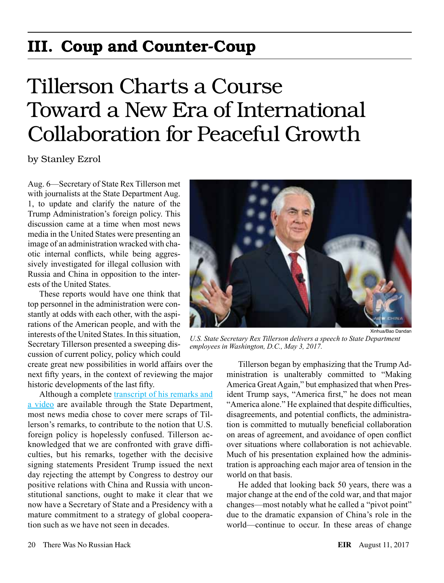# III. Coup and Counter-Coup

# Tillerson Charts a Course Toward a New Era of International Collaboration for Peaceful Growth

by Stanley Ezrol

Aug. 6—Secretary of State Rex Tillerson met with journalists at the State Department Aug. 1, to update and clarify the nature of the Trump Administration's foreign policy. This discussion came at a time when most news media in the United States were presenting an image of an administration wracked with chaotic internal conflicts, while being aggressively investigated for illegal collusion with Russia and China in opposition to the interests of the United States.

These reports would have one think that top personnel in the administration were constantly at odds with each other, with the aspirations of the American people, and with the interests of the United States. In this situation, Secretary Tillerson presented a sweeping discussion of current policy, policy which could

create great new possibilities in world affairs over the next fifty years, in the context of reviewing the major historic developments of the last fifty.

Although a complete [transcript of his remarks and](https://www.state.gov/secretary/remarks/2017/08/272979.htm) [a video](https://www.state.gov/secretary/remarks/2017/08/272979.htm) are available through the State Department, most news media chose to cover mere scraps of Tillerson's remarks, to contribute to the notion that U.S. foreign policy is hopelessly confused. Tillerson acknowledged that we are confronted with grave difficulties, but his remarks, together with the decisive signing statements President Trump issued the next day rejecting the attempt by Congress to destroy our positive relations with China and Russia with unconstitutional sanctions, ought to make it clear that we now have a Secretary of State and a Presidency with a mature commitment to a strategy of global cooperation such as we have not seen in decades.



*U.S. State Secretary Rex Tillerson delivers a speech to State Department employees in Washington, D.C., May 3, 2017.*

Tillerson began by emphasizing that the Trump Administration is unalterably committed to "Making America Great Again," but emphasized that when President Trump says, "America first," he does not mean "America alone." He explained that despite difficulties, disagreements, and potential conflicts, the administration is committed to mutually beneficial collaboration on areas of agreement, and avoidance of open conflict over situations where collaboration is not achievable. Much of his presentation explained how the administration is approaching each major area of tension in the world on that basis.

He added that looking back 50 years, there was a major change at the end of the cold war, and that major changes—most notably what he called a "pivot point" due to the dramatic expansion of China's role in the world—continue to occur. In these areas of change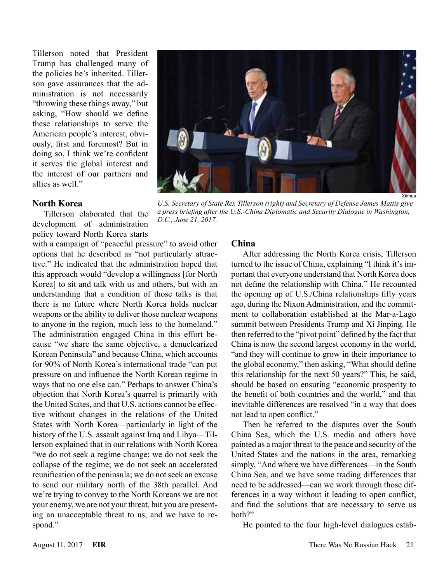Tillerson noted that President Trump has challenged many of the policies he's inherited. Tillerson gave assurances that the administration is not necessarily "throwing these things away," but asking, "How should we define these relationships to serve the American people's interest, obviously, first and foremost? But in doing so, I think we're confident it serves the global interest and the interest of our partners and allies as well."

#### **North Korea**

Tillerson elaborated that the development of administration policy toward North Korea starts

with a campaign of "peaceful pressure" to avoid other options that he described as "not particularly attractive." He indicated that the administration hoped that this approach would "develop a willingness [for North Korea] to sit and talk with us and others, but with an understanding that a condition of those talks is that there is no future where North Korea holds nuclear weapons or the ability to deliver those nuclear weapons to anyone in the region, much less to the homeland." The administration engaged China in this effort because "we share the same objective, a denuclearized Korean Peninsula" and because China, which accounts for 90% of North Korea's international trade "can put pressure on and influence the North Korean regime in ways that no one else can." Perhaps to answer China's objection that North Korea's quarrel is primarily with the United States, and that U.S. actions cannot be effective without changes in the relations of the United States with North Korea—particularly in light of the history of the U.S. assault against Iraq and Libya—Tillerson explained that in our relations with North Korea "we do not seek a regime change; we do not seek the collapse of the regime; we do not seek an accelerated reunification of the peninsula; we do not seek an excuse to send our military north of the 38th parallel. And we're trying to convey to the North Koreans we are not your enemy, we are not your threat, but you are presenting an unacceptable threat to us, and we have to respond."

#### **China**

*D.C., June 21, 2017.* 

After addressing the North Korea crisis, Tillerson turned to the issue of China, explaining "I think it's important that everyone understand that North Korea does not define the relationship with China." He recounted the opening up of U.S./China relationships fifty years ago, during the Nixon Administration, and the commitment to collaboration established at the Mar-a-Lago summit between Presidents Trump and Xi Jinping. He then referred to the "pivot point" defined by the fact that China is now the second largest economy in the world, "and they will continue to grow in their importance to the global economy," then asking, "What should define this relationship for the next 50 years?" This, he said, should be based on ensuring "economic prosperity to the benefit of both countries and the world," and that inevitable differences are resolved "in a way that does not lead to open conflict."

Then he referred to the disputes over the South China Sea, which the U.S. media and others have painted as a major threat to the peace and security of the United States and the nations in the area, remarking simply, "And where we have differences—in the South China Sea, and we have some trading differences that need to be addressed—can we work through those differences in a way without it leading to open conflict, and find the solutions that are necessary to serve us both?"

He pointed to the four high-level dialogues estab-



*a press briefing after the U.S.-China Diplomatic and Security Dialogue in Washington,* 

*U.S. Secretary of State Rex Tillerson (right) and Secretary of Defense James Mattis give*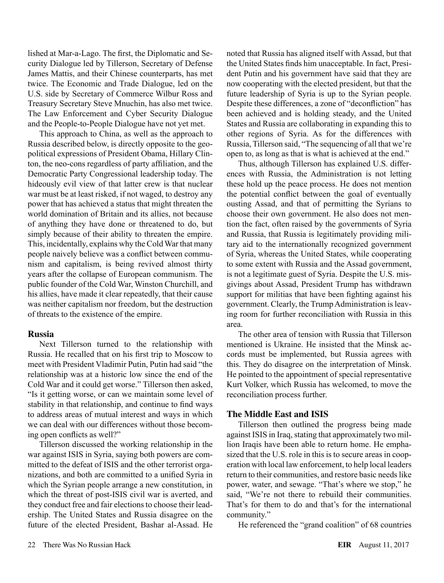lished at Mar-a-Lago. The first, the Diplomatic and Security Dialogue led by Tillerson, Secretary of Defense James Mattis, and their Chinese counterparts, has met twice. The Economic and Trade Dialogue, led on the U.S. side by Secretary of Commerce Wilbur Ross and Treasury Secretary Steve Mnuchin, has also met twice. The Law Enforcement and Cyber Security Dialogue and the People-to-People Dialogue have not yet met.

This approach to China, as well as the approach to Russia described below, is directly opposite to the geopolitical expressions of President Obama, Hillary Clinton, the neo-cons regardless of party affiliation, and the Democratic Party Congressional leadership today. The hideously evil view of that latter crew is that nuclear war must be at least risked, if not waged, to destroy any power that has achieved a status that might threaten the world domination of Britain and its allies, not because of anything they have done or threatened to do, but simply because of their ability to threaten the empire. This, incidentally, explains why the Cold War that many people naively believe was a conflict between communism and capitalism, is being revived almost thirty years after the collapse of European communism. The public founder of the Cold War, Winston Churchill, and his allies, have made it clear repeatedly, that their cause was neither capitalism nor freedom, but the destruction of threats to the existence of the empire.

#### **Russia**

Next Tillerson turned to the relationship with Russia. He recalled that on his first trip to Moscow to meet with President Vladimir Putin, Putin had said "the relationship was at a historic low since the end of the Cold War and it could get worse." Tillerson then asked, "Is it getting worse, or can we maintain some level of stability in that relationship, and continue to find ways to address areas of mutual interest and ways in which we can deal with our differences without those becoming open conflicts as well?"

Tillerson discussed the working relationship in the war against ISIS in Syria, saying both powers are committed to the defeat of ISIS and the other terrorist organizations, and both are committed to a unified Syria in which the Syrian people arrange a new constitution, in which the threat of post-ISIS civil war is averted, and they conduct free and fair elections to choose their leadership. The United States and Russia disagree on the future of the elected President, Bashar al-Assad. He

noted that Russia has aligned itself with Assad, but that the United States finds him unacceptable. In fact, President Putin and his government have said that they are now cooperating with the elected president, but that the future leadership of Syria is up to the Syrian people. Despite these differences, a zone of "deconfliction" has been achieved and is holding steady, and the United States and Russia are collaborating in expanding this to other regions of Syria. As for the differences with Russia, Tillerson said, "The sequencing of all that we're open to, as long as that is what is achieved at the end."

Thus, although Tillerson has explained U.S. differences with Russia, the Administration is not letting these hold up the peace process. He does not mention the potential conflict between the goal of eventually ousting Assad, and that of permitting the Syrians to choose their own government. He also does not mention the fact, often raised by the governments of Syria and Russia, that Russia is legitimately providing military aid to the internationally recognized government of Syria, whereas the United States, while cooperating to some extent with Russia and the Assad government, is not a legitimate guest of Syria. Despite the U.S. misgivings about Assad, President Trump has withdrawn support for militias that have been fighting against his government. Clearly, the Trump Administration is leaving room for further reconciliation with Russia in this area.

The other area of tension with Russia that Tillerson mentioned is Ukraine. He insisted that the Minsk accords must be implemented, but Russia agrees with this. They do disagree on the interpretation of Minsk. He pointed to the appointment of special representative Kurt Volker, which Russia has welcomed, to move the reconciliation process further.

#### **The Middle East and ISIS**

Tillerson then outlined the progress being made against ISIS in Iraq, stating that approximately two million Iraqis have been able to return home. He emphasized that the U.S. role in this is to secure areas in cooperation with local law enforcement, to help local leaders return to their communities, and restore basic needs like power, water, and sewage. "That's where we stop," he said, "We're not there to rebuild their communities. That's for them to do and that's for the international community."

He referenced the "grand coalition" of 68 countries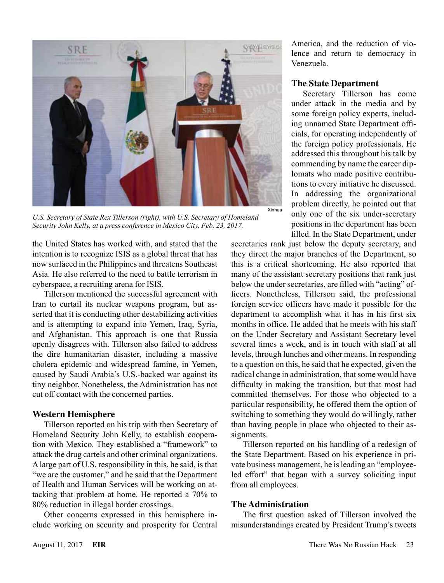

*U.S. Secretary of State Rex Tillerson (right), with U.S. Secretary of Homeland Security John Kelly, at a press conference in Mexico City, Feb. 23, 2017.*

the United States has worked with, and stated that the intention is to recognize ISIS as a global threat that has now surfaced in the Philippines and threatens Southeast Asia. He also referred to the need to battle terrorism in cyberspace, a recruiting arena for ISIS.

Tillerson mentioned the successful agreement with Iran to curtail its nuclear weapons program, but asserted that it is conducting other destabilizing activities and is attempting to expand into Yemen, Iraq, Syria, and Afghanistan. This approach is one that Russia openly disagrees with. Tillerson also failed to address the dire humanitarian disaster, including a massive cholera epidemic and widespread famine, in Yemen, caused by Saudi Arabia's U.S.-backed war against its tiny neighbor. Nonetheless, the Administration has not cut off contact with the concerned parties.

#### **Western Hemisphere**

Tillerson reported on his trip with then Secretary of Homeland Security John Kelly, to establish cooperation with Mexico. They established a "framework" to attack the drug cartels and other criminal organizations. A large part of U.S. responsibility in this, he said, is that "we are the customer," and he said that the Department of Health and Human Services will be working on attacking that problem at home. He reported a 70% to 80% reduction in illegal border crossings.

Other concerns expressed in this hemisphere include working on security and prosperity for Central America, and the reduction of violence and return to democracy in Venezuela.

### **The State Department**

Secretary Tillerson has come under attack in the media and by some foreign policy experts, including unnamed State Department officials, for operating independently of the foreign policy professionals. He addressed this throughout his talk by commending by name the career diplomats who made positive contributions to every initiative he discussed. In addressing the organizational problem directly, he pointed out that only one of the six under-secretary positions in the department has been filled. In the State Department, under

secretaries rank just below the deputy secretary, and they direct the major branches of the Department, so this is a critical shortcoming. He also reported that many of the assistant secretary positions that rank just below the under secretaries, are filled with "acting" officers. Nonetheless, Tillerson said, the professional foreign service officers have made it possible for the department to accomplish what it has in his first six months in office. He added that he meets with his staff on the Under Secretary and Assistant Secretary level several times a week, and is in touch with staff at all levels, through lunches and other means. In responding to a question on this, he said that he expected, given the radical change in administration, that some would have difficulty in making the transition, but that most had committed themselves. For those who objected to a particular responsibility, he offered them the option of switching to something they would do willingly, rather than having people in place who objected to their assignments.

Tillerson reported on his handling of a redesign of the State Department. Based on his experience in private business management, he is leading an "employeeled effort" that began with a survey soliciting input from all employees.

#### **The Administration**

The first question asked of Tillerson involved the misunderstandings created by President Trump's tweets